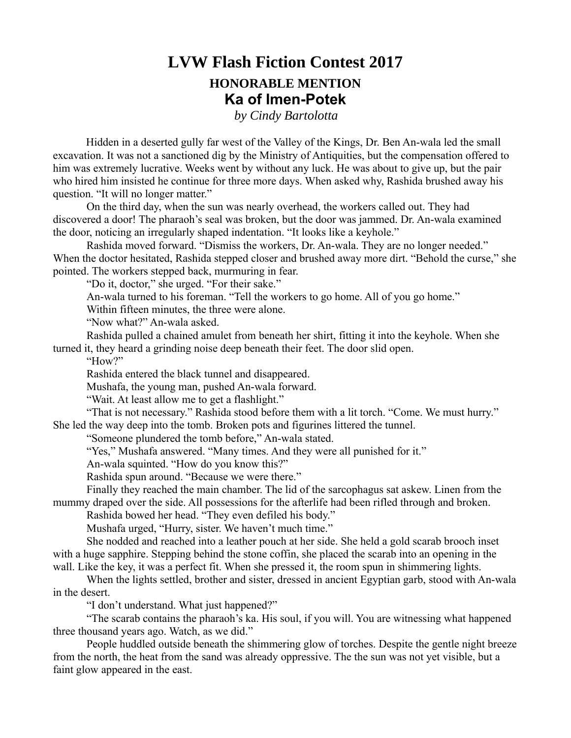## **LVW Flash Fiction Contest 2017 HONORABLE MENTION Ka of Imen-Potek**

*by Cindy Bartolotta*

Hidden in a deserted gully far west of the Valley of the Kings, Dr. Ben An-wala led the small excavation. It was not a sanctioned dig by the Ministry of Antiquities, but the compensation offered to him was extremely lucrative. Weeks went by without any luck. He was about to give up, but the pair who hired him insisted he continue for three more days. When asked why, Rashida brushed away his question. "It will no longer matter."

On the third day, when the sun was nearly overhead, the workers called out. They had discovered a door! The pharaoh's seal was broken, but the door was jammed. Dr. An-wala examined the door, noticing an irregularly shaped indentation. "It looks like a keyhole."

Rashida moved forward. "Dismiss the workers, Dr. An-wala. They are no longer needed." When the doctor hesitated, Rashida stepped closer and brushed away more dirt. "Behold the curse," she pointed. The workers stepped back, murmuring in fear.

"Do it, doctor," she urged. "For their sake."

An-wala turned to his foreman. "Tell the workers to go home. All of you go home."

Within fifteen minutes, the three were alone.

"Now what?" An-wala asked.

Rashida pulled a chained amulet from beneath her shirt, fitting it into the keyhole. When she turned it, they heard a grinding noise deep beneath their feet. The door slid open.

"How?"

Rashida entered the black tunnel and disappeared.

Mushafa, the young man, pushed An-wala forward.

"Wait. At least allow me to get a flashlight."

"That is not necessary." Rashida stood before them with a lit torch. "Come. We must hurry." She led the way deep into the tomb. Broken pots and figurines littered the tunnel.

"Someone plundered the tomb before," An-wala stated.

"Yes," Mushafa answered. "Many times. And they were all punished for it."

An-wala squinted. "How do you know this?"

Rashida spun around. "Because we were there."

Finally they reached the main chamber. The lid of the sarcophagus sat askew. Linen from the mummy draped over the side. All possessions for the afterlife had been rifled through and broken.

Rashida bowed her head. "They even defiled his body."

Mushafa urged, "Hurry, sister. We haven't much time."

She nodded and reached into a leather pouch at her side. She held a gold scarab brooch inset with a huge sapphire. Stepping behind the stone coffin, she placed the scarab into an opening in the wall. Like the key, it was a perfect fit. When she pressed it, the room spun in shimmering lights.

When the lights settled, brother and sister, dressed in ancient Egyptian garb, stood with An-wala in the desert.

"I don't understand. What just happened?"

"The scarab contains the pharaoh's ka. His soul, if you will. You are witnessing what happened three thousand years ago. Watch, as we did."

People huddled outside beneath the shimmering glow of torches. Despite the gentle night breeze from the north, the heat from the sand was already oppressive. The the sun was not yet visible, but a faint glow appeared in the east.